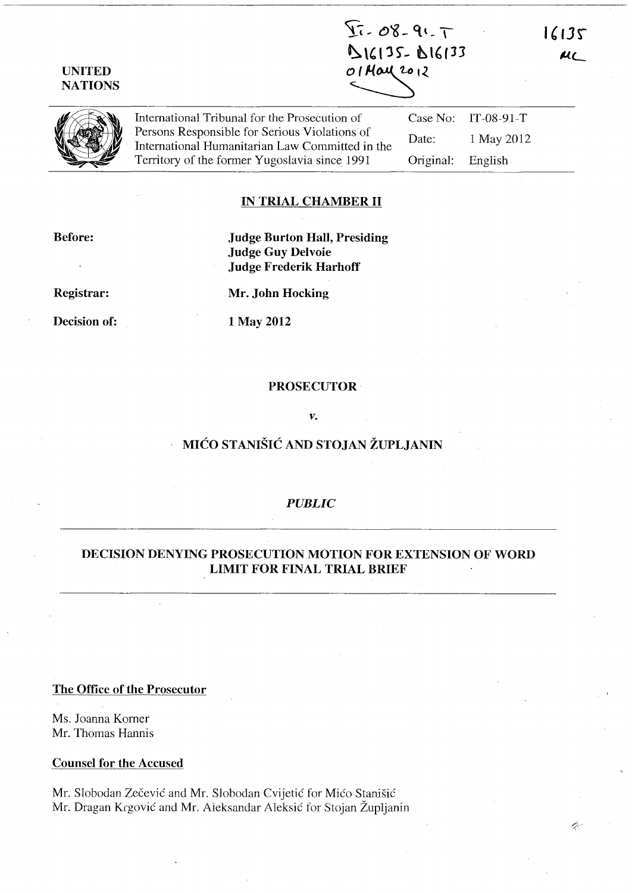$\overline{21} - 08 - 91 - 7$  $D16135 - D16133$ 01 May 2012

16135

 $AC$ 

**UNITED NATIONS** 

| <b>SA</b><br><b>ATA</b> | International Tribunal for the Prosecution of   |                   | Case No: $IT-08-91-T$ |  |
|-------------------------|-------------------------------------------------|-------------------|-----------------------|--|
|                         | Persons Responsible for Serious Violations of   | Date:             | 1 May 2012            |  |
|                         | International Humanitarian Law Committed in the |                   |                       |  |
|                         | Territory of the former Yugoslavia since 1991   | Original: English |                       |  |
|                         |                                                 |                   |                       |  |

## **IN TRIAL CHAMBER II**

**Before:** 

**Judge Burton Hall, Presiding Judge Guy Delvoie Judge Frederik Harhoff** 

**Registrar:** 

**Decision of:** 

**Mr. John Hocking** 

**1 May 2012** 

#### **PROSECUTOR**

*v.* 

## **MICO STANISIC AND STOJAN ZUPLJANIN**

#### *PUBLIC*

## **DECISION DENYING** PROSECUTION MOTION **FOR EXTENSION OF WORD LIMIT FOR FINAL TRIAL BRIEF**

**The Office of the Prosecutor** 

Ms. Joanna Komer Mr. Thomas Hannis

**Counsel for the Accused** 

Mr. Slobodan Zečević and Mr. Slobodan Cvijetić for Mićo Stanišić Mr. Dragan Krgovic and Mr. Aleksandar Aleksic for Stojan Zupljanin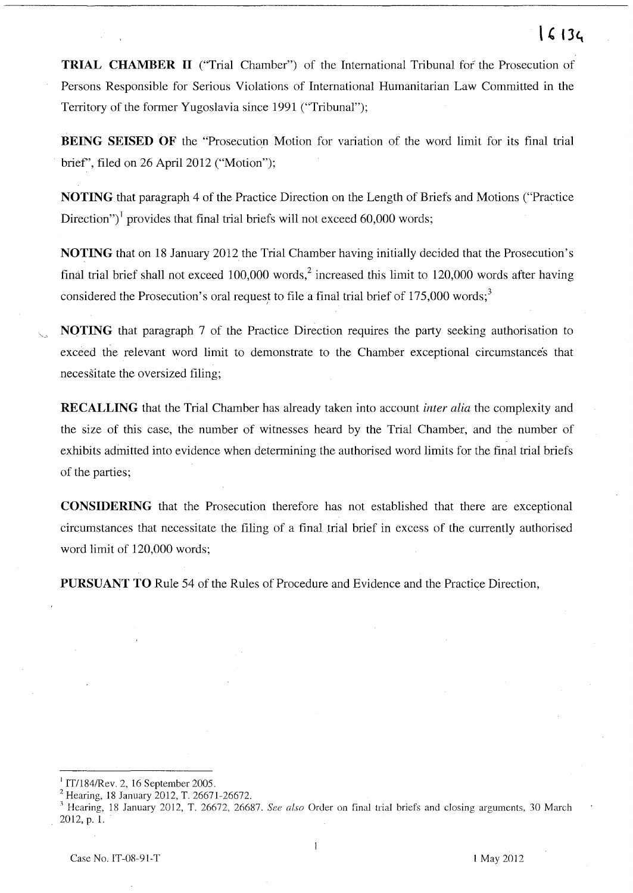# $16134$

**TRIAL CHAMBER II** ("Trial Chamber") of the International Tribunal fof the Prosecution of Persons Responsible for Serious Violations of International Humanitarian Law Committed in the Territory of the former Yugoslavia since 1991 ("Tribunal");

**BEING SEISED OF** the "Prosecution Motion for variation of the word limit for its final trial brief', filed on 26 April 2012 ("Motion");

**NOTING** that paragraph 4 of the Practice Direction on the Length of Briefs and Motions ("Practice Direction")<sup>1</sup> provides that final trial briefs will not exceed 60,000 words;

**NOTING** that on 18 January 2012 the Trial Chamber having initially decided that the Prosecution's final trial brief shall not exceed  $100,000$  words,<sup>2</sup> increased this limit to 120,000 words after having considered the Prosecution's oral request to file a final trial brief of  $175,000$  words;<sup>3</sup>

**NOTING** that paragraph 7 of the Practice Direction requires the party seeking authorisation to exceed the relevant word limit to demonstrate to the Chamber exceptional circumstances that necessitate the oversized filing;

**RECALLING** that the Trial Chamber has already taken into account *inter alia* the complexity and the size of this case, the number of witnesses heard by the Trial Chamber, and the number of exhibits admitted into evidence when determining the authorised word limits for the final trial briefs of the parties;

**CONSIDERING** that the Prosecution therefore has not established that there are exceptional circumstances that necessitate the filing of a final trial brief in excess of the currently authorised word limit of 120,000 words;

**PURSUANT TO** Rule 54 of the Rules of Procedure and Evidence and the Practice Direction,

 $\text{IT}/184/\text{Rev. 2}$ , 16 September 2005.

<sup>&</sup>lt;sup>2</sup> Hearing, 18 January 2012, T. 26671-26672.

<sup>&</sup>lt;sup>3</sup> Hearing, 18 January 2012, T. 26672, 26687. *See also* Order on final trial briefs and closing arguments, 30 March 2012, p. 1.